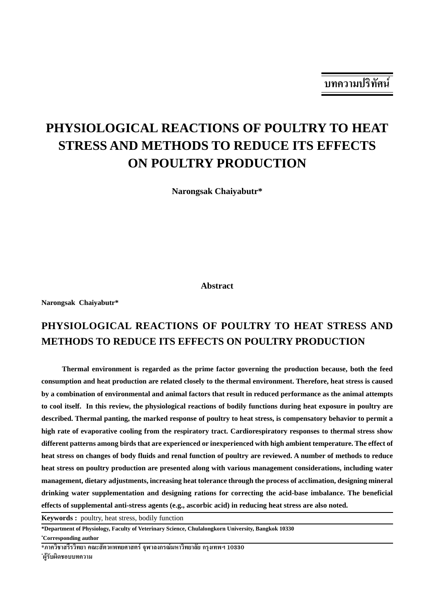# **PHYSIOLOGICAL REACTIONS OF POULTRY TO HEAT STRESS AND METHODS TO REDUCE ITS EFFECTS ON POULTRY PRODUCTION**

**Narongsak Chaiyabutr\***

**Abstract**

**Narongsak Chaiyabutr\***

## **PHYSIOLOGICAL REACTIONS OF POULTRY TO HEAT STRESS AND METHODS TO REDUCE ITS EFFECTS ON POULTRY PRODUCTION**

**Thermal environment is regarded as the prime factor governing the production because, both the feed consumption and heat production are related closely to the thermal environment. Therefore, heat stress is caused by a combination of environmental and animal factors that result in reduced performance as the animal attempts to cool itself. In this review, the physiological reactions of bodily functions during heat exposure in poultry are described. Thermal panting, the marked response of poultry to heat stress, is compensatory behavior to permit a high rate of evaporative cooling from the respiratory tract. Cardiorespiratory responses to thermal stress show different patterns among birds that are experienced or inexperienced with high ambient temperature. The effect of heat stress on changes of body fluids and renal function of poultry are reviewed. A number of methods to reduce heat stress on poultry production are presented along with various management considerations, including water management, dietary adjustments, increasing heat tolerance through the process of acclimation, designing mineral drinking water supplementation and designing rations for correcting the acid-base imbalance. The beneficial effects of supplemental anti-stress agents (e.g., ascorbic acid) in reducing heat stress are also noted.**

**Keywords :** poultry, heat stress, bodily function

**\* Corresponding author**

\*ผู้รับผิดชอบบทความ

**<sup>\*</sup>Department of Physiology, Faculty of Veterinary Science, Chulalongkorn University, Bangkok 10330**

<sup>้∗</sup>ภาควิชาสรีรวิทยา คณะสัตวแพทยศาสตร์ จพาลงกรณ์มหาวิทยาลัย กรงเทพฯ 10330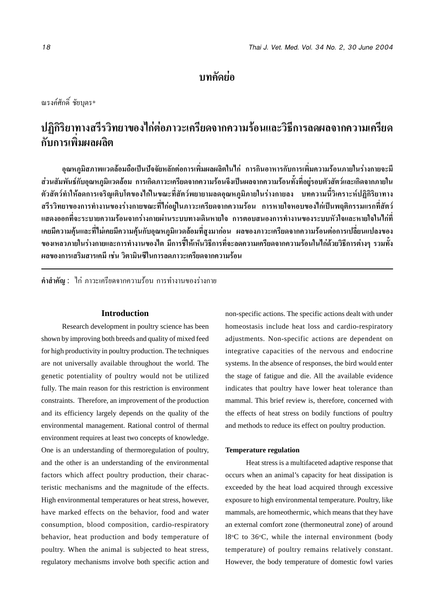### **∫∑§¥¬— Õà**

ณรงค์ศักดิ์ ชัยบุตร\*

#### ปฏิกิริยาทางสรีรวิทยาของไก่ต่อภาวะเครียดจากความร้อนและวิธีการลดผลจากความเครียด **' ' â ' ' °—∫°"√‡æ'Ë¡º≈º≈'µ**

ือุณหภูมิสภาพแวดล้อมถือเป็นปัจจัยหลักต่อการเพิ่มผลผลิตในไก่ การกินอาหารกับการเพิ่มความร้อนภายในร่างกายจะมี ี่ ส่วนสัมพันธ์์กับอณหภมิแวดล้อม การเกิดภาวะเครียดจากความร้อนจึงเป็นผลจากความร้อนทั้งที่อย่รอบตัวสัตว์และเกิดจากภายใน ู้ตัวสัตว์ทำให้ลดการเจริญเติบโตของไก่ในขณะที่สัตว์พยายามลดอุณหภูมิภายในร่างกายลง บทความนี้วิเคราะห์ปฏิกิริยาทาง ิ สรีรวิทยาของการทำงานของร่างกายขณะที่ไก่อยในภาวะเครียดจากความร้อน การหายใจหอบของไก่เป็นพถติกรรมแรกที่สัตว์ ึ แสดงออกที่จะระบายความร้อนจากร่างกายผ่านระบบทางเดินหายใจ การตอบสนองการทำงานของระบบหัวใจและหายใจในไก่ที่ ้ เคยมีความคุ้นและที่ไม่เคยมีความคุ้นกับอุณหภูมิแวดล้อมที่สูงมาก่อน ผลของภาวะเครียดจากความร้อนต่อการเปลี่ยนแปลงของ ึ ของเหลวภายในร่างกายและการทำงานของไต มีการชี้ให้เห็นวิธีการที่จะลดความเครียดจากความร้อนในไก่ด้วยวิธีการต่างๆ รวมทั้ง ์ ผลของการเสริมสารเคมี เช่น วิตามินซีในการลดภาวะเครียดจากความร้อน

์ **คำสำคัญ : ใ**ก่ ภาวะเครียดจากความร้อน การทำงานของร่างกาย

#### **Introduction**

Research development in poultry science has been shown by improving both breeds and quality of mixed feed for high productivity in poultry production. The techniques are not universally available throughout the world. The genetic potentiality of poultry would not be utilized fully. The main reason for this restriction is environment constraints. Therefore, an improvement of the production and its efficiency largely depends on the quality of the environmental management. Rational control of thermal environment requires at least two concepts of knowledge. One is an understanding of thermoregulation of poultry, and the other is an understanding of the environmental factors which affect poultry production, their characteristic mechanisms and the magnitude of the effects. High environmental temperatures or heat stress, however, have marked effects on the behavior, food and water consumption, blood composition, cardio-respiratory behavior, heat production and body temperature of poultry. When the animal is subjected to heat stress, regulatory mechanisms involve both specific action and

non-specific actions. The specific actions dealt with under homeostasis include heat loss and cardio-respiratory adjustments. Non-specific actions are dependent on integrative capacities of the nervous and endocrine systems. In the absence of responses, the bird would enter the stage of fatigue and die. All the available evidence indicates that poultry have lower heat tolerance than mammal. This brief review is, therefore, concerned with the effects of heat stress on bodily functions of poultry and methods to reduce its effect on poultry production.

#### **Temperature regulation**

Heat stress is a multifaceted adaptive response that occurs when an animal's capacity for heat dissipation is exceeded by the heat load acquired through excessive exposure to high environmental temperature. Poultry, like mammals, are homeothermic, which means that they have an external comfort zone (thermoneutral zone) of around 18°C to 36°C, while the internal environment (body temperature) of poultry remains relatively constant. However, the body temperature of domestic fowl varies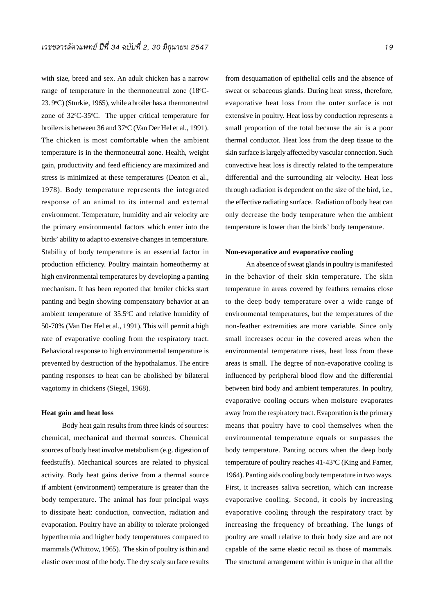with size, breed and sex. An adult chicken has a narrow range of temperature in the thermoneutral zone  $(18^{\circ}C -$ 23. 9°C) (Sturkie, 1965), while a broiler has a thermoneutral zone of 32°C-35°C. The upper critical temperature for broilers is between 36 and 37°C (Van Der Hel et al., 1991). The chicken is most comfortable when the ambient temperature is in the thermoneutral zone. Health, weight gain, productivity and feed efficiency are maximized and stress is minimized at these temperatures (Deaton et al., 1978). Body temperature represents the integrated response of an animal to its internal and external environment. Temperature, humidity and air velocity are the primary environmental factors which enter into the birds' ability to adapt to extensive changes in temperature. Stability of body temperature is an essential factor in production efficiency. Poultry maintain homeothermy at high environmental temperatures by developing a panting mechanism. It has been reported that broiler chicks start panting and begin showing compensatory behavior at an ambient temperature of  $35.5^{\circ}$ C and relative humidity of 50-70% (Van Der Hel et al., 1991). This will permit a high rate of evaporative cooling from the respiratory tract. Behavioral response to high environmental temperature is prevented by destruction of the hypothalamus. The entire panting responses to heat can be abolished by bilateral vagotomy in chickens (Siegel, 1968).

#### **Heat gain and heat loss**

Body heat gain results from three kinds of sources: chemical, mechanical and thermal sources. Chemical sources of body heat involve metabolism (e.g. digestion of feedstuffs). Mechanical sources are related to physical activity. Body heat gains derive from a thermal source if ambient (environment) temperature is greater than the body temperature. The animal has four principal ways to dissipate heat: conduction, convection, radiation and evaporation. Poultry have an ability to tolerate prolonged hyperthermia and higher body temperatures compared to mammals (Whittow, 1965). The skin of poultry is thin and elastic over most of the body. The dry scaly surface results

from desquamation of epithelial cells and the absence of sweat or sebaceous glands. During heat stress, therefore, evaporative heat loss from the outer surface is not extensive in poultry. Heat loss by conduction represents a small proportion of the total because the air is a poor thermal conductor. Heat loss from the deep tissue to the skin surface is largely affected by vascular connection. Such convective heat loss is directly related to the temperature differential and the surrounding air velocity. Heat loss through radiation is dependent on the size of the bird, i.e., the effective radiating surface. Radiation of body heat can only decrease the body temperature when the ambient temperature is lower than the birds' body temperature.

#### **Non-evaporative and evaporative cooling**

An absence of sweat glands in poultry is manifested in the behavior of their skin temperature. The skin temperature in areas covered by feathers remains close to the deep body temperature over a wide range of environmental temperatures, but the temperatures of the non-feather extremities are more variable. Since only small increases occur in the covered areas when the environmental temperature rises, heat loss from these areas is small. The degree of non-evaporative cooling is influenced by peripheral blood flow and the differential between bird body and ambient temperatures. In poultry, evaporative cooling occurs when moisture evaporates away from the respiratory tract. Evaporation is the primary means that poultry have to cool themselves when the environmental temperature equals or surpasses the body temperature. Panting occurs when the deep body temperature of poultry reaches 41-43°C (King and Farner, 1964). Panting aids cooling body temperature in two ways. First, it increases saliva secretion, which can increase evaporative cooling. Second, it cools by increasing evaporative cooling through the respiratory tract by increasing the frequency of breathing. The lungs of poultry are small relative to their body size and are not capable of the same elastic recoil as those of mammals. The structural arrangement within is unique in that all the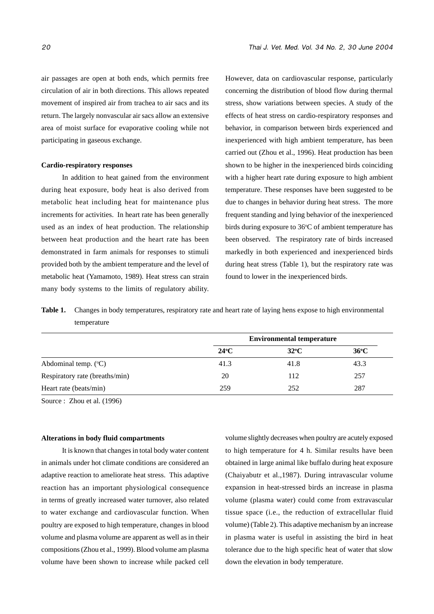air passages are open at both ends, which permits free circulation of air in both directions. This allows repeated movement of inspired air from trachea to air sacs and its return. The largely nonvascular air sacs allow an extensive area of moist surface for evaporative cooling while not participating in gaseous exchange.

#### **Cardio-respiratory responses**

In addition to heat gained from the environment during heat exposure, body heat is also derived from metabolic heat including heat for maintenance plus increments for activities. In heart rate has been generally used as an index of heat production. The relationship between heat production and the heart rate has been demonstrated in farm animals for responses to stimuli provided both by the ambient temperature and the level of metabolic heat (Yamamoto, 1989). Heat stress can strain many body systems to the limits of regulatory ability.

However, data on cardiovascular response, particularly concerning the distribution of blood flow during thermal stress, show variations between species. A study of the effects of heat stress on cardio-respiratory responses and behavior, in comparison between birds experienced and inexperienced with high ambient temperature, has been carried out (Zhou et al., 1996). Heat production has been shown to be higher in the inexperienced birds coinciding with a higher heart rate during exposure to high ambient temperature. These responses have been suggested to be due to changes in behavior during heat stress. The more frequent standing and lying behavior of the inexperienced birds during exposure to 36°C of ambient temperature has been observed. The respiratory rate of birds increased markedly in both experienced and inexperienced birds during heat stress (Table 1), but the respiratory rate was found to lower in the inexperienced birds.

**Table 1.** Changes in body temperatures, respiratory rate and heart rate of laying hens expose to high environmental temperature

|                                |                | <b>Environmental temperature</b> |                |
|--------------------------------|----------------|----------------------------------|----------------|
|                                | $24^{\circ}$ C | $32^{\circ}$ C                   | $36^{\circ}$ C |
| Abdominal temp. $(^{\circ}C)$  | 41.3           | 41.8                             | 43.3           |
| Respiratory rate (breaths/min) | 20             | 112                              | 257            |
| Heart rate (beats/min)         | 259            | 252                              | 287            |

Source : Zhou et al. (1996)

#### **Alterations in body fluid compartments**

It is known that changes in total body water content in animals under hot climate conditions are considered an adaptive reaction to ameliorate heat stress. This adaptive reaction has an important physiological consequence in terms of greatly increased water turnover, also related to water exchange and cardiovascular function. When poultry are exposed to high temperature, changes in blood volume and plasma volume are apparent as well as in their compositions (Zhou et al., 1999). Blood volume am plasma volume have been shown to increase while packed cell

volume slightly decreases when poultry are acutely exposed to high temperature for 4 h. Similar results have been obtained in large animal like buffalo during heat exposure (Chaiyabutr et al.,1987). During intravascular volume expansion in heat-stressed birds an increase in plasma volume (plasma water) could come from extravascular tissue space (i.e., the reduction of extracellular fluid volume) (Table 2). This adaptive mechanism by an increase in plasma water is useful in assisting the bird in heat tolerance due to the high specific heat of water that slow down the elevation in body temperature.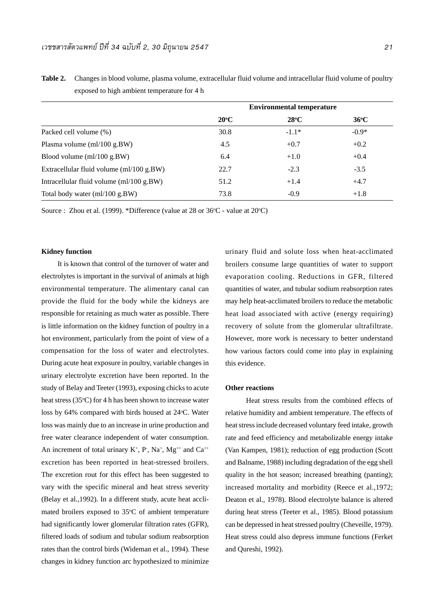|                                                 | <b>Environmental temperature</b> |               |                |  |
|-------------------------------------------------|----------------------------------|---------------|----------------|--|
|                                                 | $20^{\circ}$ C                   | $28^{\circ}C$ | $36^{\circ}$ C |  |
| Packed cell volume (%)                          | 30.8                             | $-1.1*$       | $-0.9*$        |  |
| Plasma volume (ml/100 g.BW)                     | 4.5                              | $+0.7$        | $+0.2$         |  |
| Blood volume $\text{m}/100 \text{ g.BW}$        | 6.4                              | $+1.0$        | $+0.4$         |  |
| Extracellular fluid volume $\text{m1/100 g.BW}$ | 22.7                             | $-2.3$        | $-3.5$         |  |
| Intracellular fluid volume $\text{m1/100 g.BW}$ | 51.2                             | $+1.4$        | $+4.7$         |  |
| Total body water (ml/100 g.BW)                  | 73.8                             | $-0.9$        | $+1.8$         |  |

**Table 2.** Changes in blood volume, plasma volume, extracellular fluid volume and intracellular fluid volume of poultry exposed to high ambient temperature for 4 h

Source : Zhou et al. (1999). \*Difference (value at  $28$  or  $36^{\circ}$ C - value at  $20^{\circ}$ C)

#### **Kidney function**

 It is known that control of the turnover of water and electrolytes is important in the survival of animals at high environmental temperature. The alimentary canal can provide the fluid for the body while the kidneys are responsible for retaining as much water as possible. There is little information on the kidney function of poultry in a hot environment, particularly from the point of view of a compensation for the loss of water and electrolytes. During acute heat exposure in poultry, variable changes in urinary electrolyte excretion have been reported. In the study of Belay and Teeter (1993), exposing chicks to acute heat stress (35°C) for 4 h has been shown to increase water loss by 64% compared with birds housed at 24°C. Water loss was mainly due to an increase in urine production and free water clearance independent of water consumption. An increment of total urinary  $K^+$ , P, Na<sup>+</sup>, Mg<sup>++</sup> and Ca<sup>++</sup> excretion has been reported in heat-stressed broilers. The excretion rout for this effect has been suggested to vary with the specific mineral and heat stress severity (Belay et al.,1992). In a different study, acute heat acclimated broilers exposed to 35°C of ambient temperature had significantly lower glomerular filtration rates (GFR), filtered loads of sodium and tubular sodium reabsorption rates than the control birds (Wideman et al., 1994). These changes in kidney function arc hypothesized to minimize

urinary fluid and solute loss when heat-acclimated broilers consume large quantities of water to support evaporation cooling. Reductions in GFR, filtered quantities of water, and tubular sodium reabsorption rates may help heat-acclimated broilers to reduce the metabolic heat load associated with active (energy requiring) recovery of solute from the glomerular ultrafiltrate. However, more work is necessary to better understand how various factors could come into play in explaining this evidence.

#### **Other reactions**

Heat stress results from the combined effects of relative humidity and ambient temperature. The effects of heat stress include decreased voluntary feed intake, growth rate and feed efficiency and metabolizable energy intake (Van Kampen, 1981); reduction of egg production (Scott and Balname, 1988) including degradation of the egg shell quality in the hot season; increased breathing (panting); increased mortality and morbidity (Reece et al.,1972; Deaton et al., 1978). Blood electrolyte balance is altered during heat stress (Teeter et al., 1985). Blood potassium can be depressed in heat stressed poultry (Cheveille, 1979). Heat stress could also depress immune functions (Ferket and Qureshi, 1992).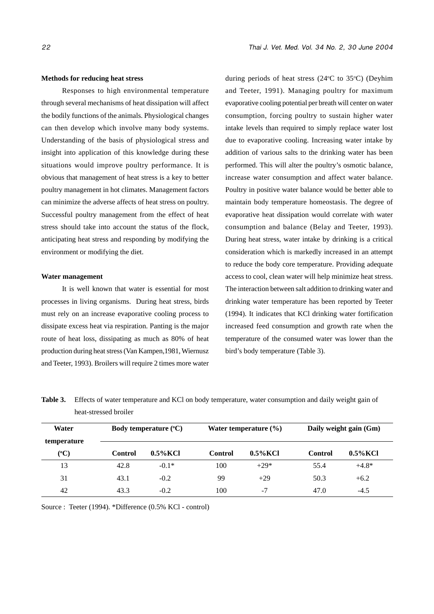#### **Methods for reducing heat stress**

Responses to high environmental temperature through several mechanisms of heat dissipation will affect the bodily functions of the animals. Physiological changes can then develop which involve many body systems. Understanding of the basis of physiological stress and insight into application of this knowledge during these situations would improve poultry performance. It is obvious that management of heat stress is a key to better poultry management in hot climates. Management factors can minimize the adverse affects of heat stress on poultry. Successful poultry management from the effect of heat stress should take into account the status of the flock, anticipating heat stress and responding by modifying the environment or modifying the diet.

#### **Water management**

It is well known that water is essential for most processes in living organisms. During heat stress, birds must rely on an increase evaporative cooling process to dissipate excess heat via respiration. Panting is the major route of heat loss, dissipating as much as 80% of heat production during heat stress (Van Kampen,1981, Wiernusz and Teeter, 1993). Broilers will require 2 times more water

during periods of heat stress (24°C to 35°C) (Deyhim and Teeter, 1991). Managing poultry for maximum evaporative cooling potential per breath will center on water consumption, forcing poultry to sustain higher water intake levels than required to simply replace water lost due to evaporative cooling. Increasing water intake by addition of various salts to the drinking water has been performed. This will alter the poultry's osmotic balance, increase water consumption and affect water balance. Poultry in positive water balance would be better able to maintain body temperature homeostasis. The degree of evaporative heat dissipation would correlate with water consumption and balance (Belay and Teeter, 1993). During heat stress, water intake by drinking is a critical consideration which is markedly increased in an attempt to reduce the body core temperature. Providing adequate access to cool, clean water will help minimize heat stress. The interaction between salt addition to drinking water and drinking water temperature has been reported by Teeter (1994). It indicates that KCl drinking water fortification increased feed consumption and growth rate when the temperature of the consumed water was lower than the bird's body temperature (Table 3).

| Water       | Body temperature $({}^{\circ}C)$ |             | Water temperature $(\% )$ |             | Daily weight gain (Gm) |             |  |
|-------------|----------------------------------|-------------|---------------------------|-------------|------------------------|-------------|--|
| temperature |                                  |             |                           |             |                        |             |  |
| $({}^oC)$   | <b>Control</b>                   | $0.5\%$ KCl | Control                   | $0.5\%$ KCl | Control                | $0.5\%$ KCl |  |
| 13          | 42.8                             | $-0.1*$     | 100                       | $+29*$      | 55.4                   | $+4.8*$     |  |
| 31          | 43.1                             | $-0.2$      | 99                        | $+29$       | 50.3                   | $+6.2$      |  |
| 42          | 43.3                             | $-0.2$      | 100                       | $-7$        | 47.0                   | $-4.5$      |  |

**Table 3.** Effects of water temperature and KCl on body temperature, water consumption and daily weight gain of heat-stressed broiler

Source : Teeter (1994). \*Difference (0.5% KCl - control)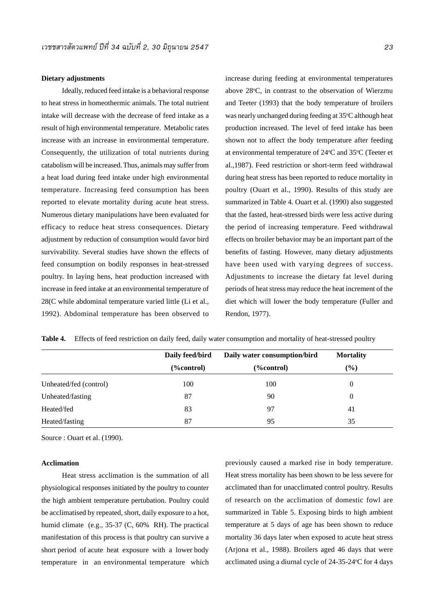#### **Dietary adjustments**

Ideally, reduced feed intake is a behavioral response to heat stress in homeothermic animals. The total nutrient intake will decrease with the decrease of feed intake as a result of high environmental temperature. Metabolic rates increase with an increase in environmental temperature. Consequently, the utilization of total nutrients during catabolism will be increased. Thus, animals may suffer from a heat load during feed intake under high environmental temperature. Increasing feed consumption has been reported to elevate mortality during acute heat stress. Numerous dietary manipulations have been evaluated for efficacy to reduce heat stress consequences. Dietary adjustment by reduction of consumption would favor bird survivability. Several studies have shown the effects of feed consumption on bodily responses in heat-stressed poultry. In laying hens, heat production increased with increase in feed intake at an environmental temperature of 28(C while abdominal temperature varied little (Li et al., 1992). Abdominal temperature has been observed to increase during feeding at environmental temperatures above 28°C, in contrast to the observation of Wierzmu and Teeter (1993) that the body temperature of broilers was nearly unchanged during feeding at 35°C although heat production increased. The level of feed intake has been shown not to affect the body temperature after feeding at environmental temperature of 24°C and 35°C (Teeter et al.,1987). Feed restriction or short-term feed withdrawal during heat stress has been reported to reduce mortality in poultry (Ouart et al., 1990). Results of this study are summarized in Table 4. Ouart et al. (1990) also suggested that the fasted, heat-stressed birds were less active during the period of increasing temperature. Feed withdrawal effects on broiler behavior may be an important part of the benefits of fasting. However, many dietary adjustments have been used with varying degrees of success. Adjustments to increase the dietary fat level during periods of heat stress may reduce the heat increment of the diet which will lower the body temperature (Fuller and Rendon, 1977).

|                        | Daily feed/bird | Daily water consumption/bird | <b>Mortality</b> |
|------------------------|-----------------|------------------------------|------------------|
|                        | $(\%control)$   | (%control)                   | $\frac{9}{6}$    |
| Unheated/fed (control) | 100             | 100                          | 0                |
| Unheated/fasting       | 87              | 90                           | 0                |
| Heated/fed             | 83              | 97                           | 41               |
| Heated/fasting         | 87              | 95                           | 35               |

**Table 4.** Effects of feed restriction on daily feed, daily water consumption and mortality of heat-stressed poultry

Source : Ouart et al. (1990).

#### **Acclimation**

Heat stress acclimation is the summation of all physiological responses initiated by the poultry to counter the high ambient temperature pertubation. Poultry could be acclimatised by repeated, short, daily exposure to a hot, humid climate (e.g., 35-37 (C, 60% RH). The practical manifestation of this process is that poultry can survive a short period of acute heat exposure with a lower body temperature in an environmental temperature which

previously caused a marked rise in body temperature. Heat stress mortality has been shown to be less severe for acclimated than for unacclimated control poultry. Results of research on the acclimation of domestic fowl are summarized in Table 5. Exposing birds to high ambient temperature at 5 days of age has been shown to reduce mortality 36 days later when exposed to acute heat stress (Arjona et al., 1988). Broilers aged 46 days that were acclimated using a diurnal cycle of  $24-35-24$ °C for 4 days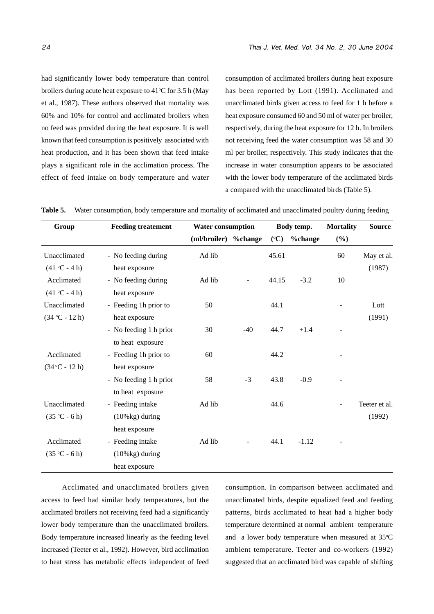had significantly lower body temperature than control broilers during acute heat exposure to  $41^{\circ}$ C for 3.5 h (May et al., 1987). These authors observed that mortality was 60% and 10% for control and acclimated broilers when no feed was provided during the heat exposure. It is well known that feed consumption is positively associated with heat production, and it has been shown that feed intake plays a significant role in the acclimation process. The effect of feed intake on body temperature and water consumption of acclimated broilers during heat exposure has been reported by Lott (1991). Acclimated and unacclimated birds given access to feed for 1 h before a heat exposure consumed 60 and 50 ml of water per broiler, respectively, during the heat exposure for 12 h. In broilers not receiving feed the water consumption was 58 and 30 ml per broiler, respectively. This study indicates that the increase in water consumption appears to be associated with the lower body temperature of the acclimated birds a compared with the unacclimated birds (Table 5).

|  |  |  | Table 5. Water consumption, body temperature and mortality of acclimated and unacclimated poultry during feeding |  |  |  |  |
|--|--|--|------------------------------------------------------------------------------------------------------------------|--|--|--|--|
|--|--|--|------------------------------------------------------------------------------------------------------------------|--|--|--|--|

| Group            | <b>Feeding treatement</b> | <b>Water consumption</b> |       |                 | Body temp. | <b>Mortality</b> | <b>Source</b> |
|------------------|---------------------------|--------------------------|-------|-----------------|------------|------------------|---------------|
|                  |                           | (ml/broiler) %change     |       | $({}^{\circ}C)$ | %change    | $(\%)$           |               |
| Unacclimated     | - No feeding during       | Ad lib                   |       | 45.61           |            | 60               | May et al.    |
| $(41 °C - 4 h)$  | heat exposure             |                          |       |                 |            |                  | (1987)        |
| Acclimated       | - No feeding during       | Ad lib                   |       | 44.15           | $-3.2$     | 10               |               |
| $(41 °C - 4 h)$  | heat exposure             |                          |       |                 |            |                  |               |
| Unacclimated     | - Feeding 1h prior to     | 50                       |       | 44.1            |            |                  | Lott          |
| $(34 °C - 12 h)$ | heat exposure             |                          |       |                 |            |                  | (1991)        |
|                  | - No feeding 1 h prior    | 30                       | $-40$ | 44.7            | $+1.4$     |                  |               |
|                  | to heat exposure          |                          |       |                 |            |                  |               |
| Acclimated       | - Feeding 1h prior to     | 60                       |       | 44.2            |            |                  |               |
| $(34 °C - 12 h)$ | heat exposure             |                          |       |                 |            |                  |               |
|                  | - No feeding 1 h prior    | 58                       | $-3$  | 43.8            | $-0.9$     |                  |               |
|                  | to heat exposure          |                          |       |                 |            |                  |               |
| Unacclimated     | - Feeding intake          | Ad lib                   |       | 44.6            |            |                  | Teeter et al. |
| $(35 °C - 6 h)$  | $(10\%$ kg) during        |                          |       |                 |            |                  | (1992)        |
|                  | heat exposure             |                          |       |                 |            |                  |               |
| Acclimated       | - Feeding intake          | Ad lib                   |       | 44.1            | $-1.12$    |                  |               |
| $(35 °C - 6 h)$  | $(10\%$ kg) during        |                          |       |                 |            |                  |               |
|                  | heat exposure             |                          |       |                 |            |                  |               |

Acclimated and unacclimated broilers given access to feed had similar body temperatures, but the acclimated broilers not receiving feed had a significantly lower body temperature than the unacclimated broilers. Body temperature increased linearly as the feeding level increased (Teeter et al., 1992). However, bird acclimation to heat stress has metabolic effects independent of feed consumption. In comparison between acclimated and unacclimated birds, despite equalized feed and feeding patterns, birds acclimated to heat had a higher body temperature determined at normal ambient temperature and a lower body temperature when measured at 35°C ambient temperature. Teeter and co-workers (1992) suggested that an acclimated bird was capable of shifting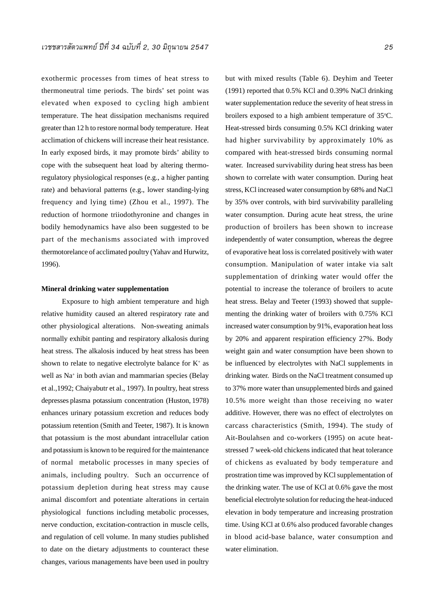exothermic processes from times of heat stress to thermoneutral time periods. The birds' set point was elevated when exposed to cycling high ambient temperature. The heat dissipation mechanisms required greater than 12 h to restore normal body temperature. Heat acclimation of chickens will increase their heat resistance. In early exposed birds, it may promote birds' ability to cope with the subsequent heat load by altering thermoregulatory physiological responses (e.g., a higher panting rate) and behavioral patterns (e.g., lower standing-lying frequency and lying time) (Zhou et al., 1997). The reduction of hormone triiodothyronine and changes in bodily hemodynamics have also been suggested to be part of the mechanisms associated with improved thermotorelance of acclimated poultry (Yahav and Hurwitz, 1996).

#### **Mineral drinking water supplementation**

Exposure to high ambient temperature and high relative humidity caused an altered respiratory rate and other physiological alterations. Non-sweating animals normally exhibit panting and respiratory alkalosis during heat stress. The alkalosis induced by heat stress has been shown to relate to negative electrolyte balance for  $K^+$  as well as Na+ in both avian and mammarian species (Belay et al.,1992; Chaiyabutr et al., 1997). In poultry, heat stress depresses plasma potassium concentration (Huston, 1978) enhances urinary potassium excretion and reduces body potassium retention (Smith and Teeter, 1987). It is known that potassium is the most abundant intracellular cation and potassium is known to be required for the maintenance of normal metabolic processes in many species of animals, including poultry. Such an occurrence of potassium depletion during heat stress may cause animal discomfort and potentiate alterations in certain physiological functions including metabolic processes, nerve conduction, excitation-contraction in muscle cells, and regulation of cell volume. In many studies published to date on the dietary adjustments to counteract these changes, various managements have been used in poultry

but with mixed results (Table 6). Deyhim and Teeter (1991) reported that 0.5% KCl and 0.39% NaCl drinking water supplementation reduce the severity of heat stress in broilers exposed to a high ambient temperature of 35°C. Heat-stressed birds consuming 0.5% KCl drinking water had higher survivability by approximately 10% as compared with heat-stressed birds consuming normal water. Increased survivability during heat stress has been shown to correlate with water consumption. During heat stress, KCl increased water consumption by 68% and NaCl by 35% over controls, with bird survivability paralleling water consumption. During acute heat stress, the urine production of broilers has been shown to increase independently of water consumption, whereas the degree of evaporative heat loss is correlated positively with water consumption. Manipulation of water intake via salt supplementation of drinking water would offer the potential to increase the tolerance of broilers to acute heat stress. Belay and Teeter (1993) showed that supplementing the drinking water of broilers with 0.75% KCl increased water consumption by 91%, evaporation heat loss by 20% and apparent respiration efficiency 27%. Body weight gain and water consumption have been shown to be influenced by electrolytes with NaCl supplements in drinking water. Birds on the NaCl treatment consumed up to 37% more water than unsupplemented birds and gained 10.5% more weight than those receiving no water additive. However, there was no effect of electrolytes on carcass characteristics (Smith, 1994). The study of Ait-Boulahsen and co-workers (1995) on acute heatstressed 7 week-old chickens indicated that heat tolerance of chickens as evaluated by body temperature and prostration time was improved by KCl supplementation of the drinking water. The use of KCl at 0.6% gave the most beneficial electrolyte solution for reducing the heat-induced elevation in body temperature and increasing prostration time. Using KCl at 0.6% also produced favorable changes in blood acid-base balance, water consumption and water elimination.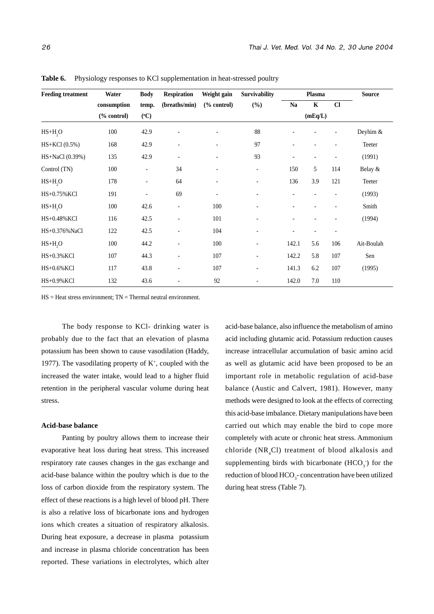| <b>Feeding treatment</b> | Water           | <b>Body</b>              | <b>Respiration</b>       | Weight gain              | <b>Survivability</b>     |                          | Plasma                   |      | <b>Source</b> |
|--------------------------|-----------------|--------------------------|--------------------------|--------------------------|--------------------------|--------------------------|--------------------------|------|---------------|
|                          | consumption     | temp.                    | (breaths/min)            | $%$ control $)$          | $(\%)$                   | Na                       | $\mathbf K$              | $CI$ |               |
|                          | $%$ control $)$ | $({}^oC)$                |                          |                          |                          |                          | (mEq/L)                  |      |               |
| $HS+H, O$                | 100             | 42.9                     |                          |                          | 88                       |                          |                          |      | Deyhim &      |
| HS+KCl (0.5%)            | 168             | 42.9                     | ÷,                       |                          | 97                       |                          |                          |      | Teeter        |
| HS+NaCl (0.39%)          | 135             | 42.9                     | $\overline{\phantom{a}}$ | $\overline{\phantom{a}}$ | 93                       | $\overline{\phantom{a}}$ | $\overline{\phantom{a}}$ |      | (1991)        |
| Control (TN)             | 100             | $\overline{\phantom{0}}$ | 34                       | $\overline{\phantom{a}}$ | $\overline{\phantom{a}}$ | 150                      | 5                        | 114  | Belay $&$     |
| $HS+H2O$                 | 178             | $\overline{\phantom{0}}$ | 64                       | $\overline{\phantom{a}}$ | ۰                        | 136                      | 3.9                      | 121  | Teeter        |
| HS+0.75% KCl             | 191             | $\overline{\phantom{0}}$ | 69                       | $\overline{\phantom{a}}$ | $\overline{\phantom{0}}$ |                          |                          |      | (1993)        |
| $HS+H2O$                 | 100             | 42.6                     | $\overline{\phantom{a}}$ | 100                      | ٠                        |                          |                          |      | Smith         |
| HS+0.48% KCl             | 116             | 42.5                     | $\overline{\phantom{a}}$ | 101                      |                          |                          |                          |      | (1994)        |
| HS+0.376%NaCl            | 122             | 42.5                     | $\overline{\phantom{a}}$ | 104                      | ÷,                       |                          | $\overline{\phantom{a}}$ |      |               |
| $HS+H2O$                 | 100             | 44.2                     | ÷,                       | 100                      | $\overline{\phantom{a}}$ | 142.1                    | 5.6                      | 106  | Ait-Boulah    |
| HS+0.3% KCl              | 107             | 44.3                     | $\overline{\phantom{a}}$ | 107                      | $\overline{\phantom{a}}$ | 142.2                    | 5.8                      | 107  | Sen           |
| HS+0.6% KCl              | 117             | 43.8                     | $\overline{a}$           | 107                      | ÷,                       | 141.3                    | 6.2                      | 107  | (1995)        |
| HS+0.9% KCl              | 132             | 43.6                     |                          | 92                       |                          | 142.0                    | 7.0                      | 110  |               |

Table 6. Physiology responses to KCl supplementation in heat-stressed poultry

 $HS = Heat stress environment; TN = Thermal neutral environment.$ 

The body response to KCl- drinking water is probably due to the fact that an elevation of plasma potassium has been shown to cause vasodilation (Haddy, 1977). The vasodilating property of  $K^+$ , coupled with the increased the water intake, would lead to a higher fluid retention in the peripheral vascular volume during heat stress.

#### **Acid-base balance**

Panting by poultry allows them to increase their evaporative heat loss during heat stress. This increased respiratory rate causes changes in the gas exchange and acid-base balance within the poultry which is due to the loss of carbon dioxide from the respiratory system. The effect of these reactions is a high level of blood pH. There is also a relative loss of bicarbonate ions and hydrogen ions which creates a situation of respiratory alkalosis. During heat exposure, a decrease in plasma potassium and increase in plasma chloride concentration has been reported. These variations in electrolytes, which alter acid-base balance, also influence the metabolism of amino acid including glutamic acid. Potassium reduction causes increase intracellular accumulation of basic amino acid as well as glutamic acid have been proposed to be an important role in metabolic regulation of acid-base balance (Austic and Calvert, 1981). However, many methods were designed to look at the effects of correcting this acid-base imbalance. Dietary manipulations have been carried out which may enable the bird to cope more completely with acute or chronic heat stress. Ammonium chloride  $(NR_{4}Cl)$  treatment of blood alkalosis and supplementing birds with bicarbonate  $(HCO<sub>3</sub>)$  for the reduction of blood HCO<sub>3</sub>- concentration have been utilized during heat stress (Table 7).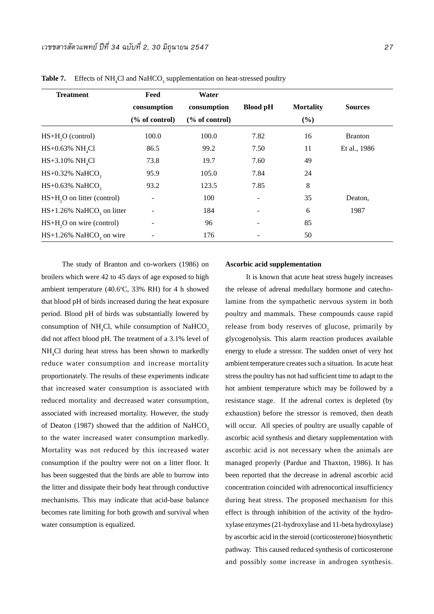| <b>Treatment</b>                         | Feed          | Water         |                 |                  |                |  |
|------------------------------------------|---------------|---------------|-----------------|------------------|----------------|--|
|                                          | consumption   | consumption   | <b>Blood pH</b> | <b>Mortality</b> | <b>Sources</b> |  |
|                                          | % of control) | % of control) |                 | (%)              |                |  |
| $HS+H2O$ (control)                       | 100.0         | 100.0         | 7.82            | 16               | <b>Branton</b> |  |
| $HS+0.63\% \text{ NH}_{4}Cl$             | 86.5          | 99.2          | 7.50            | 11               | Et al., 1986   |  |
| $HS+3.10\% \text{ NH}_{4}Cl$             | 73.8          | 19.7          | 7.60            | 49               |                |  |
| $HS+0.32\%$ NaHCO <sub>3</sub>           | 95.9          | 105.0         | 7.84            | 24               |                |  |
| $HS+0.63\%$ NaHCO <sub>3</sub>           | 93.2          | 123.5         | 7.85            | 8                |                |  |
| HS+H <sub>2</sub> O on litter (control)  |               | 100           |                 | 35               | Deaton,        |  |
| $HS+1.26\%$ NaHCO <sub>3</sub> on litter |               | 184           |                 | 6                | 1987           |  |
| $HS+H2O$ on wire (control)               |               | 96            |                 | 85               |                |  |
| $HS+1.26\%$ NaHCO <sub>3</sub> on wire   |               | 176           |                 | 50               |                |  |

**Table 7.** Effects of  $NH_4Cl$  and  $NaHCO_3$  supplementation on heat-stressed poultry

The study of Branton and co-workers (1986) on broilers which were 42 to 45 days of age exposed to high ambient temperature (40.6°C, 33% RH) for 4 h showed that blood pH of birds increased during the heat exposure period. Blood pH of birds was substantially lowered by consumption of  $NH<sub>4</sub>Cl$ , while consumption of  $NaHCO<sub>3</sub>$ did not affect blood pH. The treatment of a 3.1% level of NH4 Cl during heat stress has been shown to markedly reduce water consumption and increase mortality proportionately. The results of these experiments indicate that increased water consumption is associated with reduced mortality and decreased water consumption, associated with increased mortality. However, the study of Deaton (1987) showed that the addition of NaHCO<sub>3</sub> to the water increased water consumption markedly. Mortality was not reduced by this increased water consumption if the poultry were not on a litter floor. It has been suggested that the birds are able to burrow into the litter and dissipate their body heat through conductive mechanisms. This may indicate that acid-base balance becomes rate limiting for both growth and survival when water consumption is equalized.

#### **Ascorbic acid supplementation**

It is known that acute heat stress hugely increases the release of adrenal medullary hormone and catecholamine from the sympathetic nervous system in both poultry and mammals. These compounds cause rapid release from body reserves of glucose, primarily by glycogenolysis. This alarm reaction produces available energy to elude a stressor. The sudden onset of very hot ambient temperature creates such a situation. In acute heat stress the poultry has not had sufficient time to adapt to the hot ambient temperature which may be followed by a resistance stage. If the adrenal cortex is depleted (by exhaustion) before the stressor is removed, then death will occur. All species of poultry are usually capable of ascorbic acid synthesis and dietary supplementation with ascorbic acid is not necessary when the animals are managed properly (Pardue and Thaxton, 1986). It has been reported that the decrease in adrenal ascorbic acid concentration coincided with adrenocortical insufficiency during heat stress. The proposed mechanism for this effect is through inhibition of the activity of the hydroxylase enzymes (21-hydroxylase and 11-beta hydroxylase) by ascorbic acid in the steroid (corticosterone) biosynthetic pathway. This caused reduced synthesis of corticosterone and possibly some increase in androgen synthesis.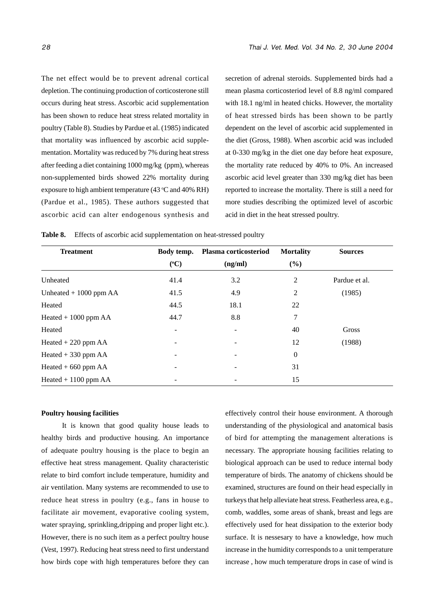The net effect would be to prevent adrenal cortical depletion. The continuing production of corticosterone still occurs during heat stress. Ascorbic acid supplementation has been shown to reduce heat stress related mortality in poultry (Table 8). Studies by Pardue et al. (1985) indicated that mortality was influenced by ascorbic acid supplementation. Mortality was reduced by 7% during heat stress after feeding a diet containing 1000 mg/kg (ppm), whereas non-supplemented birds showed 22% mortality during exposure to high ambient temperature (43  $\degree$ C and 40% RH) (Pardue et al., 1985). These authors suggested that ascorbic acid can alter endogenous synthesis and

secretion of adrenal steroids. Supplemented birds had a mean plasma corticosteriod level of 8.8 ng/ml compared with 18.1 ng/ml in heated chicks. However, the mortality of heat stressed birds has been shown to be partly dependent on the level of ascorbic acid supplemented in the diet (Gross, 1988). When ascorbic acid was included at 0-330 mg/kg in the diet one day before heat exposure, the mortality rate reduced by 40% to 0%. An increased ascorbic acid level greater than 330 mg/kg diet has been reported to increase the mortality. There is still a need for more studies describing the optimized level of ascorbic acid in diet in the heat stressed poultry.

**Table 8.** Effects of ascorbic acid supplementation on heat-stressed poultry

| <b>Treatment</b>        | Body temp.               | Plasma corticosteriod | <b>Mortality</b> | <b>Sources</b> |
|-------------------------|--------------------------|-----------------------|------------------|----------------|
|                         | $({}^{\circ}C)$          | (ng/ml)               | (%)              |                |
| Unheated                | 41.4                     | 3.2                   | $\overline{c}$   | Pardue et al.  |
| Unheated $+1000$ ppm AA | 41.5                     | 4.9                   | 2                | (1985)         |
| Heated                  | 44.5                     | 18.1                  | 22               |                |
| Heated $+1000$ ppm AA   | 44.7                     | 8.8                   | 7                |                |
| Heated                  |                          |                       | 40               | Gross          |
| Heated $+220$ ppm AA    | ۰                        |                       | 12               | (1988)         |
| Heated $+330$ ppm AA    |                          |                       | $\boldsymbol{0}$ |                |
| Heated $+660$ ppm AA    | $\overline{\phantom{a}}$ |                       | 31               |                |
| Heated $+$ 1100 ppm AA  |                          |                       | 15               |                |

#### **Poultry housing facilities**

It is known that good quality house leads to healthy birds and productive housing. An importance of adequate poultry housing is the place to begin an effective heat stress management. Quality characteristic relate to bird comfort include temperature, humidity and air ventilation. Many systems are recommended to use to reduce heat stress in poultry (e.g., fans in house to facilitate air movement, evaporative cooling system, water spraying, sprinkling,dripping and proper light etc.). However, there is no such item as a perfect poultry house (Vest, 1997). Reducing heat stress need to first understand how birds cope with high temperatures before they can effectively control their house environment. A thorough understanding of the physiological and anatomical basis of bird for attempting the management alterations is necessary. The appropriate housing facilities relating to biological approach can be used to reduce internal body temperature of birds. The anatomy of chickens should be examined, structures are found on their head especially in turkeys that help alleviate heat stress. Featherless area, e.g., comb, waddles, some areas of shank, breast and legs are effectively used for heat dissipation to the exterior body surface. It is nessesary to have a knowledge, how much increase in the humidity corresponds to a unit temperature increase , how much temperature drops in case of wind is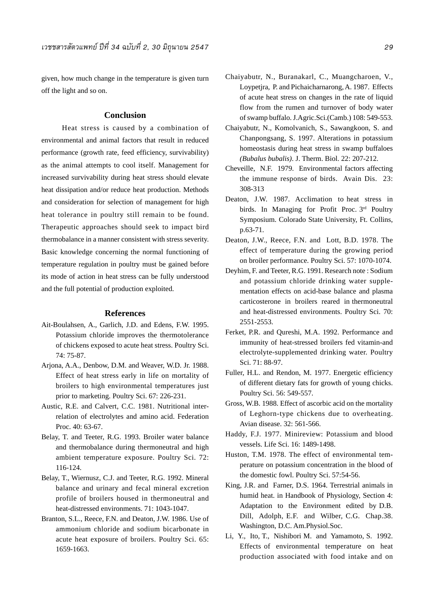given, how much change in the temperature is given turn off the light and so on.

### **Conclusion**

Heat stress is caused by a combination of environmental and animal factors that result in reduced performance (growth rate, feed efficiency, survivability) as the animal attempts to cool itself. Management for increased survivability during heat stress should elevate heat dissipation and/or reduce heat production. Methods and consideration for selection of management for high heat tolerance in poultry still remain to be found. Therapeutic approaches should seek to impact bird thermobalance in a manner consistent with stress severity. Basic knowledge concerning the normal functioning of temperature regulation in poultry must be gained before its mode of action in heat stress can be fully understood and the full potential of production exploited.

#### **References**

- Ait-Boulahsen, A., Garlich, J.D. and Edens, F.W. 1995. Potassium chloride improves the thermotolerance of chickens exposed to acute heat stress. Poultry Sci. 74: 75-87.
- Arjona, A.A., Denbow, D.M. and Weaver, W.D. Jr. 1988. Effect of heat stress early in life on mortality of broilers to high environmental temperatures just prior to marketing. Poultry Sci. 67: 226-231.
- Austic, R.E. and Calvert, C.C. 1981. Nutritional interrelation of electrolytes and amino acid. Federation Proc. 40: 63-67.
- Belay, T. and Teeter, R.G. 1993. Broiler water balance and thermobalance during thermoneutral and high ambient temperature exposure. Poultry Sci. 72: 116-124.
- Belay, T., Wiernusz, C.J. and Teeter, R.G. 1992. Mineral balance and urinary and fecal mineral excretion profile of broilers housed in thermoneutral and heat-distressed environments. 71: 1043-1047.
- Branton, S.L., Reece, F.N. and Deaton, J.W. 1986. Use of ammonium chloride and sodium bicarbonate in acute heat exposure of broilers. Poultry Sci. 65: 1659-1663.
- Chaiyabutr, N., Buranakarl, C., Muangcharoen, V., Loypetjra, P. and Pichaicharnarong, A. 1987. Effects of acute heat stress on changes in the rate of liquid flow from the rumen and turnover of body water of swamp buffalo. J.Agric.Sci.(Camb.) 108: 549-553.
- Chaiyabutr, N., Komolvanich, S., Sawangkoon, S. and Chanpongsang, S. 1997. Alterations in potassium homeostasis during heat stress in swamp buffaloes *(Bubalus bubalis)*. J. Therm. Biol. 22: 207-212.
- Cheveille, N.F. 1979. Environmental factors affecting the immune response of birds. Avain Dis. 23: 308-313
- Deaton, J.W. 1987. Acclimation to heat stress in birds. In Managing for Profit Proc. 3rd Poultry Symposium. Colorado State University, Ft. Collins, p.63-71.
- Deaton, J.W., Reece, F.N. and Lott, B.D. 1978. The effect of temperature during the growing period on broiler performance. Poultry Sci. 57: 1070-1074.
- Deyhim, F. and Teeter, R.G. 1991. Research note : Sodium and potassium chloride drinking water supplementation effects on acid-base balance and plasma carticosterone in broilers reared in thermoneutral and heat-distressed environments. Poultry Sci. 70: 2551-2553.
- Ferket, P.R. and Qureshi, M.A. 1992. Performance and immunity of heat-stressed broilers fed vitamin-and electrolyte-supplemented drinking water. Poultry Sci. 71: 88-97.
- Fuller, H.L. and Rendon, M. 1977. Energetic efficiency of different dietary fats for growth of young chicks. Poultry Sci. 56: 549-557.
- Gross, W.B. 1988. Effect of ascorbic acid on the mortality of Leghorn-type chickens due to overheating. Avian disease. 32: 561-566.
- Haddy, F.J. 1977. Minireview: Potassium and blood vessels. Life Sci. 16: 1489-1498.
- Huston, T.M. 1978. The effect of environmental temperature on potassium concentration in the blood of the domestic fowl. Poultry Sci. 57:54-56.
- King, J.R. and Farner, D.S. 1964. Terrestrial animals in humid heat. in Handbook of Physiology, Section 4: Adaptation to the Environment edited by D.B. Dill, Adolph, E.F. and Wilber, C.G. Chap.38. Washington, D.C. Am.Physiol.Soc.
- Li, Y., Ito, T., Nishibori M. and Yamamoto, S. 1992. Effects of environmental temperature on heat production associated with food intake and on